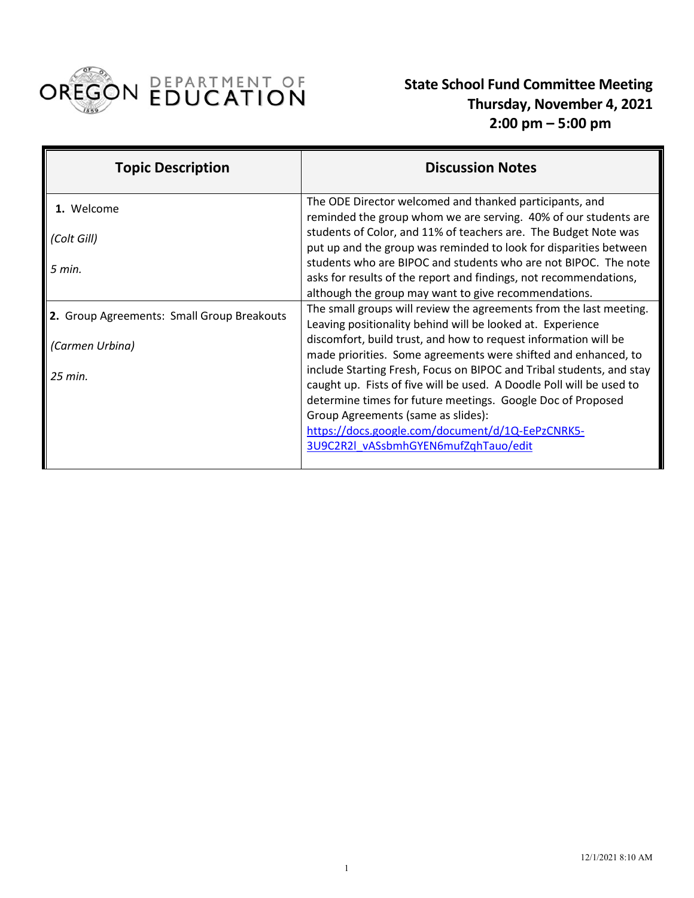

 **State School Fund Committee Meeting Thursday, November 4, 2021 2:00 pm – 5:00 pm**

| <b>Topic Description</b>                   | <b>Discussion Notes</b>                                                                                                                                                                                                                                                                               |
|--------------------------------------------|-------------------------------------------------------------------------------------------------------------------------------------------------------------------------------------------------------------------------------------------------------------------------------------------------------|
| 1. Welcome                                 | The ODE Director welcomed and thanked participants, and<br>reminded the group whom we are serving. 40% of our students are                                                                                                                                                                            |
| (Colt Gill)                                | students of Color, and 11% of teachers are. The Budget Note was<br>put up and the group was reminded to look for disparities between                                                                                                                                                                  |
| $5$ min.                                   | students who are BIPOC and students who are not BIPOC. The note<br>asks for results of the report and findings, not recommendations,                                                                                                                                                                  |
|                                            | although the group may want to give recommendations.                                                                                                                                                                                                                                                  |
| 2. Group Agreements: Small Group Breakouts | The small groups will review the agreements from the last meeting.<br>Leaving positionality behind will be looked at. Experience                                                                                                                                                                      |
| (Carmen Urbina)                            | discomfort, build trust, and how to request information will be<br>made priorities. Some agreements were shifted and enhanced, to                                                                                                                                                                     |
| 25 min.                                    | include Starting Fresh, Focus on BIPOC and Tribal students, and stay<br>caught up. Fists of five will be used. A Doodle Poll will be used to<br>determine times for future meetings. Google Doc of Proposed<br>Group Agreements (same as slides):<br>https://docs.google.com/document/d/1Q-EePzCNRK5- |
|                                            | 3U9C2R2l vASsbmhGYEN6mufZqhTauo/edit                                                                                                                                                                                                                                                                  |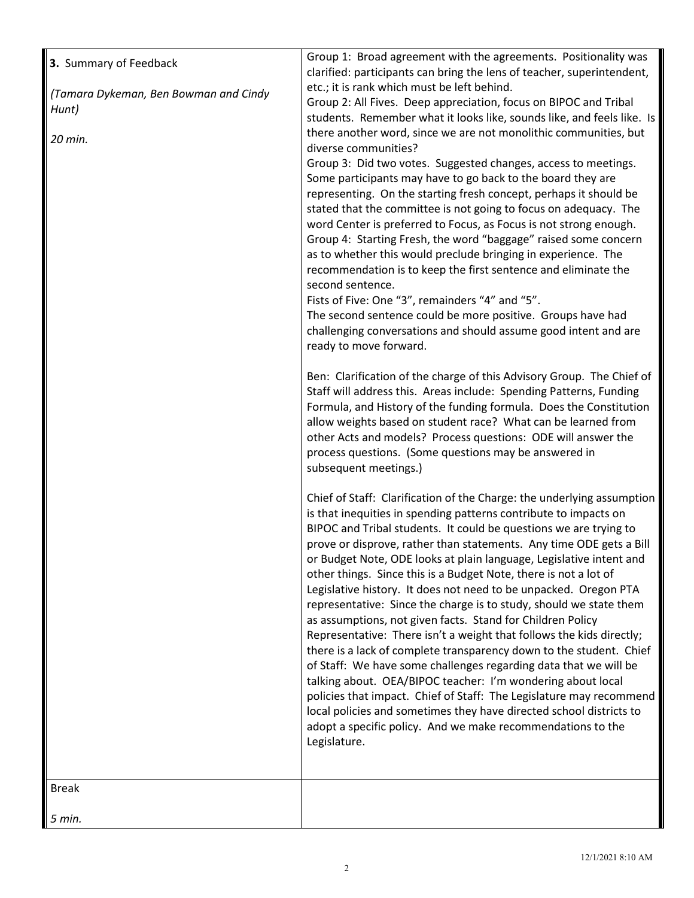| 3. Summary of Feedback<br>(Tamara Dykeman, Ben Bowman and Cindy<br>Hunt)<br>20 min. | Group 1: Broad agreement with the agreements. Positionality was<br>clarified: participants can bring the lens of teacher, superintendent,<br>etc.; it is rank which must be left behind.<br>Group 2: All Fives. Deep appreciation, focus on BIPOC and Tribal<br>students. Remember what it looks like, sounds like, and feels like. Is<br>there another word, since we are not monolithic communities, but<br>diverse communities?<br>Group 3: Did two votes. Suggested changes, access to meetings.<br>Some participants may have to go back to the board they are<br>representing. On the starting fresh concept, perhaps it should be<br>stated that the committee is not going to focus on adequacy. The<br>word Center is preferred to Focus, as Focus is not strong enough.<br>Group 4: Starting Fresh, the word "baggage" raised some concern<br>as to whether this would preclude bringing in experience. The<br>recommendation is to keep the first sentence and eliminate the<br>second sentence.<br>Fists of Five: One "3", remainders "4" and "5".<br>The second sentence could be more positive. Groups have had |
|-------------------------------------------------------------------------------------|-------------------------------------------------------------------------------------------------------------------------------------------------------------------------------------------------------------------------------------------------------------------------------------------------------------------------------------------------------------------------------------------------------------------------------------------------------------------------------------------------------------------------------------------------------------------------------------------------------------------------------------------------------------------------------------------------------------------------------------------------------------------------------------------------------------------------------------------------------------------------------------------------------------------------------------------------------------------------------------------------------------------------------------------------------------------------------------------------------------------------------|
|                                                                                     | challenging conversations and should assume good intent and are<br>ready to move forward.<br>Ben: Clarification of the charge of this Advisory Group. The Chief of<br>Staff will address this. Areas include: Spending Patterns, Funding<br>Formula, and History of the funding formula. Does the Constitution<br>allow weights based on student race? What can be learned from<br>other Acts and models? Process questions: ODE will answer the<br>process questions. (Some questions may be answered in<br>subsequent meetings.)<br>Chief of Staff: Clarification of the Charge: the underlying assumption<br>is that inequities in spending patterns contribute to impacts on<br>BIPOC and Tribal students. It could be questions we are trying to<br>prove or disprove, rather than statements. Any time ODE gets a Bill<br>or Budget Note, ODE looks at plain language, Legislative intent and                                                                                                                                                                                                                           |
|                                                                                     | other things. Since this is a Budget Note, there is not a lot of<br>Legislative history. It does not need to be unpacked. Oregon PTA<br>representative: Since the charge is to study, should we state them<br>as assumptions, not given facts. Stand for Children Policy<br>Representative: There isn't a weight that follows the kids directly;<br>there is a lack of complete transparency down to the student. Chief<br>of Staff: We have some challenges regarding data that we will be<br>talking about. OEA/BIPOC teacher: I'm wondering about local<br>policies that impact. Chief of Staff: The Legislature may recommend<br>local policies and sometimes they have directed school districts to<br>adopt a specific policy. And we make recommendations to the<br>Legislature.                                                                                                                                                                                                                                                                                                                                       |
| <b>Break</b>                                                                        |                                                                                                                                                                                                                                                                                                                                                                                                                                                                                                                                                                                                                                                                                                                                                                                                                                                                                                                                                                                                                                                                                                                               |
| 5 min.                                                                              |                                                                                                                                                                                                                                                                                                                                                                                                                                                                                                                                                                                                                                                                                                                                                                                                                                                                                                                                                                                                                                                                                                                               |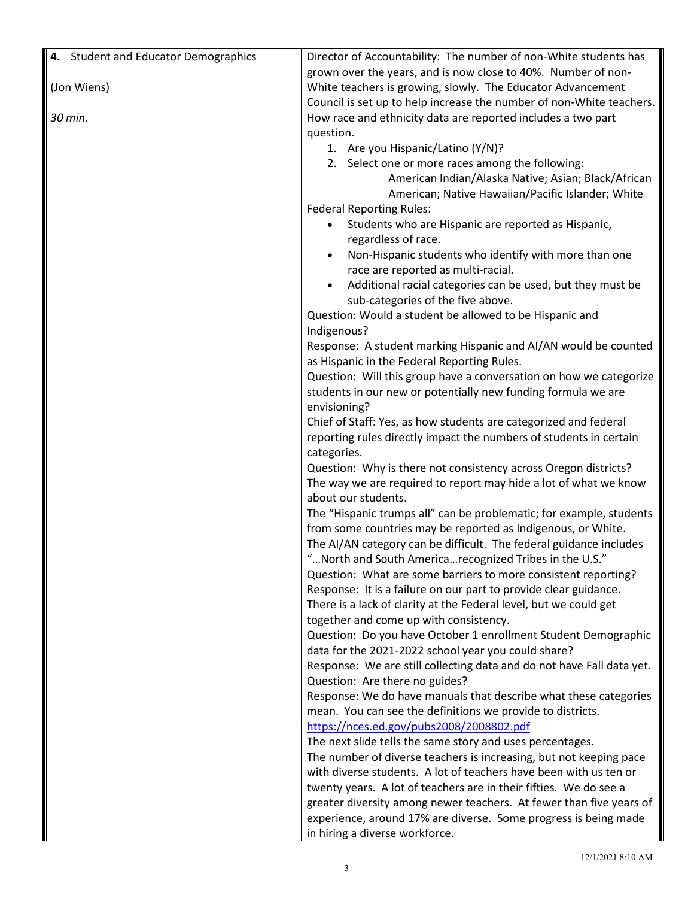| grown over the years, and is now close to 40%. Number of non-<br>(Jon Wiens)<br>White teachers is growing, slowly. The Educator Advancement<br>Council is set up to help increase the number of non-White teachers.<br>30 min.<br>How race and ethnicity data are reported includes a two part<br>question.<br>1. Are you Hispanic/Latino (Y/N)?<br>2. Select one or more races among the following:<br>American Indian/Alaska Native; Asian; Black/African<br>American; Native Hawaiian/Pacific Islander; White<br><b>Federal Reporting Rules:</b><br>Students who are Hispanic are reported as Hispanic,<br>regardless of race.<br>Non-Hispanic students who identify with more than one<br>race are reported as multi-racial.<br>Additional racial categories can be used, but they must be<br>sub-categories of the five above.<br>Question: Would a student be allowed to be Hispanic and<br>Indigenous?<br>Response: A student marking Hispanic and AI/AN would be counted<br>as Hispanic in the Federal Reporting Rules.<br>Question: Will this group have a conversation on how we categorize<br>students in our new or potentially new funding formula we are<br>envisioning?<br>Chief of Staff: Yes, as how students are categorized and federal<br>reporting rules directly impact the numbers of students in certain<br>categories.<br>Question: Why is there not consistency across Oregon districts?<br>The way we are required to report may hide a lot of what we know<br>about our students.<br>The "Hispanic trumps all" can be problematic; for example, students<br>from some countries may be reported as Indigenous, or White.<br>The AI/AN category can be difficult. The federal guidance includes<br>" North and South America recognized Tribes in the U.S."<br>Question: What are some barriers to more consistent reporting?<br>Response: It is a failure on our part to provide clear guidance.<br>There is a lack of clarity at the Federal level, but we could get<br>together and come up with consistency.<br>Question: Do you have October 1 enrollment Student Demographic<br>data for the 2021-2022 school year you could share?<br>Response: We are still collecting data and do not have Fall data yet.<br>Question: Are there no guides?<br>Response: We do have manuals that describe what these categories<br>mean. You can see the definitions we provide to districts.<br>https://nces.ed.gov/pubs2008/2008802.pdf<br>The next slide tells the same story and uses percentages.<br>The number of diverse teachers is increasing, but not keeping pace<br>with diverse students. A lot of teachers have been with us ten or<br>twenty years. A lot of teachers are in their fifties. We do see a<br>greater diversity among newer teachers. At fewer than five years of<br>experience, around 17% are diverse. Some progress is being made | 4. Student and Educator Demographics | Director of Accountability: The number of non-White students has |
|--------------------------------------------------------------------------------------------------------------------------------------------------------------------------------------------------------------------------------------------------------------------------------------------------------------------------------------------------------------------------------------------------------------------------------------------------------------------------------------------------------------------------------------------------------------------------------------------------------------------------------------------------------------------------------------------------------------------------------------------------------------------------------------------------------------------------------------------------------------------------------------------------------------------------------------------------------------------------------------------------------------------------------------------------------------------------------------------------------------------------------------------------------------------------------------------------------------------------------------------------------------------------------------------------------------------------------------------------------------------------------------------------------------------------------------------------------------------------------------------------------------------------------------------------------------------------------------------------------------------------------------------------------------------------------------------------------------------------------------------------------------------------------------------------------------------------------------------------------------------------------------------------------------------------------------------------------------------------------------------------------------------------------------------------------------------------------------------------------------------------------------------------------------------------------------------------------------------------------------------------------------------------------------------------------------------------------------------------------------------------------------------------------------------------------------------------------------------------------------------------------------------------------------------------------------------------------------------------------------------------------------------------------------------------------------------------------------------------------------------------------------------------------------------------------------------------------------------------------------------------------------|--------------------------------------|------------------------------------------------------------------|
|                                                                                                                                                                                                                                                                                                                                                                                                                                                                                                                                                                                                                                                                                                                                                                                                                                                                                                                                                                                                                                                                                                                                                                                                                                                                                                                                                                                                                                                                                                                                                                                                                                                                                                                                                                                                                                                                                                                                                                                                                                                                                                                                                                                                                                                                                                                                                                                                                                                                                                                                                                                                                                                                                                                                                                                                                                                                                      |                                      |                                                                  |
|                                                                                                                                                                                                                                                                                                                                                                                                                                                                                                                                                                                                                                                                                                                                                                                                                                                                                                                                                                                                                                                                                                                                                                                                                                                                                                                                                                                                                                                                                                                                                                                                                                                                                                                                                                                                                                                                                                                                                                                                                                                                                                                                                                                                                                                                                                                                                                                                                                                                                                                                                                                                                                                                                                                                                                                                                                                                                      |                                      |                                                                  |
|                                                                                                                                                                                                                                                                                                                                                                                                                                                                                                                                                                                                                                                                                                                                                                                                                                                                                                                                                                                                                                                                                                                                                                                                                                                                                                                                                                                                                                                                                                                                                                                                                                                                                                                                                                                                                                                                                                                                                                                                                                                                                                                                                                                                                                                                                                                                                                                                                                                                                                                                                                                                                                                                                                                                                                                                                                                                                      |                                      |                                                                  |
|                                                                                                                                                                                                                                                                                                                                                                                                                                                                                                                                                                                                                                                                                                                                                                                                                                                                                                                                                                                                                                                                                                                                                                                                                                                                                                                                                                                                                                                                                                                                                                                                                                                                                                                                                                                                                                                                                                                                                                                                                                                                                                                                                                                                                                                                                                                                                                                                                                                                                                                                                                                                                                                                                                                                                                                                                                                                                      |                                      |                                                                  |
|                                                                                                                                                                                                                                                                                                                                                                                                                                                                                                                                                                                                                                                                                                                                                                                                                                                                                                                                                                                                                                                                                                                                                                                                                                                                                                                                                                                                                                                                                                                                                                                                                                                                                                                                                                                                                                                                                                                                                                                                                                                                                                                                                                                                                                                                                                                                                                                                                                                                                                                                                                                                                                                                                                                                                                                                                                                                                      |                                      |                                                                  |
|                                                                                                                                                                                                                                                                                                                                                                                                                                                                                                                                                                                                                                                                                                                                                                                                                                                                                                                                                                                                                                                                                                                                                                                                                                                                                                                                                                                                                                                                                                                                                                                                                                                                                                                                                                                                                                                                                                                                                                                                                                                                                                                                                                                                                                                                                                                                                                                                                                                                                                                                                                                                                                                                                                                                                                                                                                                                                      |                                      |                                                                  |
|                                                                                                                                                                                                                                                                                                                                                                                                                                                                                                                                                                                                                                                                                                                                                                                                                                                                                                                                                                                                                                                                                                                                                                                                                                                                                                                                                                                                                                                                                                                                                                                                                                                                                                                                                                                                                                                                                                                                                                                                                                                                                                                                                                                                                                                                                                                                                                                                                                                                                                                                                                                                                                                                                                                                                                                                                                                                                      |                                      |                                                                  |
|                                                                                                                                                                                                                                                                                                                                                                                                                                                                                                                                                                                                                                                                                                                                                                                                                                                                                                                                                                                                                                                                                                                                                                                                                                                                                                                                                                                                                                                                                                                                                                                                                                                                                                                                                                                                                                                                                                                                                                                                                                                                                                                                                                                                                                                                                                                                                                                                                                                                                                                                                                                                                                                                                                                                                                                                                                                                                      |                                      |                                                                  |
|                                                                                                                                                                                                                                                                                                                                                                                                                                                                                                                                                                                                                                                                                                                                                                                                                                                                                                                                                                                                                                                                                                                                                                                                                                                                                                                                                                                                                                                                                                                                                                                                                                                                                                                                                                                                                                                                                                                                                                                                                                                                                                                                                                                                                                                                                                                                                                                                                                                                                                                                                                                                                                                                                                                                                                                                                                                                                      |                                      |                                                                  |
|                                                                                                                                                                                                                                                                                                                                                                                                                                                                                                                                                                                                                                                                                                                                                                                                                                                                                                                                                                                                                                                                                                                                                                                                                                                                                                                                                                                                                                                                                                                                                                                                                                                                                                                                                                                                                                                                                                                                                                                                                                                                                                                                                                                                                                                                                                                                                                                                                                                                                                                                                                                                                                                                                                                                                                                                                                                                                      |                                      |                                                                  |
|                                                                                                                                                                                                                                                                                                                                                                                                                                                                                                                                                                                                                                                                                                                                                                                                                                                                                                                                                                                                                                                                                                                                                                                                                                                                                                                                                                                                                                                                                                                                                                                                                                                                                                                                                                                                                                                                                                                                                                                                                                                                                                                                                                                                                                                                                                                                                                                                                                                                                                                                                                                                                                                                                                                                                                                                                                                                                      |                                      |                                                                  |
|                                                                                                                                                                                                                                                                                                                                                                                                                                                                                                                                                                                                                                                                                                                                                                                                                                                                                                                                                                                                                                                                                                                                                                                                                                                                                                                                                                                                                                                                                                                                                                                                                                                                                                                                                                                                                                                                                                                                                                                                                                                                                                                                                                                                                                                                                                                                                                                                                                                                                                                                                                                                                                                                                                                                                                                                                                                                                      |                                      |                                                                  |
|                                                                                                                                                                                                                                                                                                                                                                                                                                                                                                                                                                                                                                                                                                                                                                                                                                                                                                                                                                                                                                                                                                                                                                                                                                                                                                                                                                                                                                                                                                                                                                                                                                                                                                                                                                                                                                                                                                                                                                                                                                                                                                                                                                                                                                                                                                                                                                                                                                                                                                                                                                                                                                                                                                                                                                                                                                                                                      |                                      |                                                                  |
|                                                                                                                                                                                                                                                                                                                                                                                                                                                                                                                                                                                                                                                                                                                                                                                                                                                                                                                                                                                                                                                                                                                                                                                                                                                                                                                                                                                                                                                                                                                                                                                                                                                                                                                                                                                                                                                                                                                                                                                                                                                                                                                                                                                                                                                                                                                                                                                                                                                                                                                                                                                                                                                                                                                                                                                                                                                                                      |                                      |                                                                  |
|                                                                                                                                                                                                                                                                                                                                                                                                                                                                                                                                                                                                                                                                                                                                                                                                                                                                                                                                                                                                                                                                                                                                                                                                                                                                                                                                                                                                                                                                                                                                                                                                                                                                                                                                                                                                                                                                                                                                                                                                                                                                                                                                                                                                                                                                                                                                                                                                                                                                                                                                                                                                                                                                                                                                                                                                                                                                                      |                                      |                                                                  |
|                                                                                                                                                                                                                                                                                                                                                                                                                                                                                                                                                                                                                                                                                                                                                                                                                                                                                                                                                                                                                                                                                                                                                                                                                                                                                                                                                                                                                                                                                                                                                                                                                                                                                                                                                                                                                                                                                                                                                                                                                                                                                                                                                                                                                                                                                                                                                                                                                                                                                                                                                                                                                                                                                                                                                                                                                                                                                      |                                      |                                                                  |
|                                                                                                                                                                                                                                                                                                                                                                                                                                                                                                                                                                                                                                                                                                                                                                                                                                                                                                                                                                                                                                                                                                                                                                                                                                                                                                                                                                                                                                                                                                                                                                                                                                                                                                                                                                                                                                                                                                                                                                                                                                                                                                                                                                                                                                                                                                                                                                                                                                                                                                                                                                                                                                                                                                                                                                                                                                                                                      |                                      |                                                                  |
|                                                                                                                                                                                                                                                                                                                                                                                                                                                                                                                                                                                                                                                                                                                                                                                                                                                                                                                                                                                                                                                                                                                                                                                                                                                                                                                                                                                                                                                                                                                                                                                                                                                                                                                                                                                                                                                                                                                                                                                                                                                                                                                                                                                                                                                                                                                                                                                                                                                                                                                                                                                                                                                                                                                                                                                                                                                                                      |                                      |                                                                  |
|                                                                                                                                                                                                                                                                                                                                                                                                                                                                                                                                                                                                                                                                                                                                                                                                                                                                                                                                                                                                                                                                                                                                                                                                                                                                                                                                                                                                                                                                                                                                                                                                                                                                                                                                                                                                                                                                                                                                                                                                                                                                                                                                                                                                                                                                                                                                                                                                                                                                                                                                                                                                                                                                                                                                                                                                                                                                                      |                                      |                                                                  |
|                                                                                                                                                                                                                                                                                                                                                                                                                                                                                                                                                                                                                                                                                                                                                                                                                                                                                                                                                                                                                                                                                                                                                                                                                                                                                                                                                                                                                                                                                                                                                                                                                                                                                                                                                                                                                                                                                                                                                                                                                                                                                                                                                                                                                                                                                                                                                                                                                                                                                                                                                                                                                                                                                                                                                                                                                                                                                      |                                      |                                                                  |
|                                                                                                                                                                                                                                                                                                                                                                                                                                                                                                                                                                                                                                                                                                                                                                                                                                                                                                                                                                                                                                                                                                                                                                                                                                                                                                                                                                                                                                                                                                                                                                                                                                                                                                                                                                                                                                                                                                                                                                                                                                                                                                                                                                                                                                                                                                                                                                                                                                                                                                                                                                                                                                                                                                                                                                                                                                                                                      |                                      |                                                                  |
|                                                                                                                                                                                                                                                                                                                                                                                                                                                                                                                                                                                                                                                                                                                                                                                                                                                                                                                                                                                                                                                                                                                                                                                                                                                                                                                                                                                                                                                                                                                                                                                                                                                                                                                                                                                                                                                                                                                                                                                                                                                                                                                                                                                                                                                                                                                                                                                                                                                                                                                                                                                                                                                                                                                                                                                                                                                                                      |                                      |                                                                  |
|                                                                                                                                                                                                                                                                                                                                                                                                                                                                                                                                                                                                                                                                                                                                                                                                                                                                                                                                                                                                                                                                                                                                                                                                                                                                                                                                                                                                                                                                                                                                                                                                                                                                                                                                                                                                                                                                                                                                                                                                                                                                                                                                                                                                                                                                                                                                                                                                                                                                                                                                                                                                                                                                                                                                                                                                                                                                                      |                                      |                                                                  |
|                                                                                                                                                                                                                                                                                                                                                                                                                                                                                                                                                                                                                                                                                                                                                                                                                                                                                                                                                                                                                                                                                                                                                                                                                                                                                                                                                                                                                                                                                                                                                                                                                                                                                                                                                                                                                                                                                                                                                                                                                                                                                                                                                                                                                                                                                                                                                                                                                                                                                                                                                                                                                                                                                                                                                                                                                                                                                      |                                      |                                                                  |
|                                                                                                                                                                                                                                                                                                                                                                                                                                                                                                                                                                                                                                                                                                                                                                                                                                                                                                                                                                                                                                                                                                                                                                                                                                                                                                                                                                                                                                                                                                                                                                                                                                                                                                                                                                                                                                                                                                                                                                                                                                                                                                                                                                                                                                                                                                                                                                                                                                                                                                                                                                                                                                                                                                                                                                                                                                                                                      |                                      |                                                                  |
|                                                                                                                                                                                                                                                                                                                                                                                                                                                                                                                                                                                                                                                                                                                                                                                                                                                                                                                                                                                                                                                                                                                                                                                                                                                                                                                                                                                                                                                                                                                                                                                                                                                                                                                                                                                                                                                                                                                                                                                                                                                                                                                                                                                                                                                                                                                                                                                                                                                                                                                                                                                                                                                                                                                                                                                                                                                                                      |                                      |                                                                  |
|                                                                                                                                                                                                                                                                                                                                                                                                                                                                                                                                                                                                                                                                                                                                                                                                                                                                                                                                                                                                                                                                                                                                                                                                                                                                                                                                                                                                                                                                                                                                                                                                                                                                                                                                                                                                                                                                                                                                                                                                                                                                                                                                                                                                                                                                                                                                                                                                                                                                                                                                                                                                                                                                                                                                                                                                                                                                                      |                                      |                                                                  |
|                                                                                                                                                                                                                                                                                                                                                                                                                                                                                                                                                                                                                                                                                                                                                                                                                                                                                                                                                                                                                                                                                                                                                                                                                                                                                                                                                                                                                                                                                                                                                                                                                                                                                                                                                                                                                                                                                                                                                                                                                                                                                                                                                                                                                                                                                                                                                                                                                                                                                                                                                                                                                                                                                                                                                                                                                                                                                      |                                      |                                                                  |
|                                                                                                                                                                                                                                                                                                                                                                                                                                                                                                                                                                                                                                                                                                                                                                                                                                                                                                                                                                                                                                                                                                                                                                                                                                                                                                                                                                                                                                                                                                                                                                                                                                                                                                                                                                                                                                                                                                                                                                                                                                                                                                                                                                                                                                                                                                                                                                                                                                                                                                                                                                                                                                                                                                                                                                                                                                                                                      |                                      |                                                                  |
|                                                                                                                                                                                                                                                                                                                                                                                                                                                                                                                                                                                                                                                                                                                                                                                                                                                                                                                                                                                                                                                                                                                                                                                                                                                                                                                                                                                                                                                                                                                                                                                                                                                                                                                                                                                                                                                                                                                                                                                                                                                                                                                                                                                                                                                                                                                                                                                                                                                                                                                                                                                                                                                                                                                                                                                                                                                                                      |                                      |                                                                  |
|                                                                                                                                                                                                                                                                                                                                                                                                                                                                                                                                                                                                                                                                                                                                                                                                                                                                                                                                                                                                                                                                                                                                                                                                                                                                                                                                                                                                                                                                                                                                                                                                                                                                                                                                                                                                                                                                                                                                                                                                                                                                                                                                                                                                                                                                                                                                                                                                                                                                                                                                                                                                                                                                                                                                                                                                                                                                                      |                                      |                                                                  |
|                                                                                                                                                                                                                                                                                                                                                                                                                                                                                                                                                                                                                                                                                                                                                                                                                                                                                                                                                                                                                                                                                                                                                                                                                                                                                                                                                                                                                                                                                                                                                                                                                                                                                                                                                                                                                                                                                                                                                                                                                                                                                                                                                                                                                                                                                                                                                                                                                                                                                                                                                                                                                                                                                                                                                                                                                                                                                      |                                      |                                                                  |
|                                                                                                                                                                                                                                                                                                                                                                                                                                                                                                                                                                                                                                                                                                                                                                                                                                                                                                                                                                                                                                                                                                                                                                                                                                                                                                                                                                                                                                                                                                                                                                                                                                                                                                                                                                                                                                                                                                                                                                                                                                                                                                                                                                                                                                                                                                                                                                                                                                                                                                                                                                                                                                                                                                                                                                                                                                                                                      |                                      |                                                                  |
|                                                                                                                                                                                                                                                                                                                                                                                                                                                                                                                                                                                                                                                                                                                                                                                                                                                                                                                                                                                                                                                                                                                                                                                                                                                                                                                                                                                                                                                                                                                                                                                                                                                                                                                                                                                                                                                                                                                                                                                                                                                                                                                                                                                                                                                                                                                                                                                                                                                                                                                                                                                                                                                                                                                                                                                                                                                                                      |                                      |                                                                  |
|                                                                                                                                                                                                                                                                                                                                                                                                                                                                                                                                                                                                                                                                                                                                                                                                                                                                                                                                                                                                                                                                                                                                                                                                                                                                                                                                                                                                                                                                                                                                                                                                                                                                                                                                                                                                                                                                                                                                                                                                                                                                                                                                                                                                                                                                                                                                                                                                                                                                                                                                                                                                                                                                                                                                                                                                                                                                                      |                                      |                                                                  |
|                                                                                                                                                                                                                                                                                                                                                                                                                                                                                                                                                                                                                                                                                                                                                                                                                                                                                                                                                                                                                                                                                                                                                                                                                                                                                                                                                                                                                                                                                                                                                                                                                                                                                                                                                                                                                                                                                                                                                                                                                                                                                                                                                                                                                                                                                                                                                                                                                                                                                                                                                                                                                                                                                                                                                                                                                                                                                      |                                      |                                                                  |
|                                                                                                                                                                                                                                                                                                                                                                                                                                                                                                                                                                                                                                                                                                                                                                                                                                                                                                                                                                                                                                                                                                                                                                                                                                                                                                                                                                                                                                                                                                                                                                                                                                                                                                                                                                                                                                                                                                                                                                                                                                                                                                                                                                                                                                                                                                                                                                                                                                                                                                                                                                                                                                                                                                                                                                                                                                                                                      |                                      |                                                                  |
|                                                                                                                                                                                                                                                                                                                                                                                                                                                                                                                                                                                                                                                                                                                                                                                                                                                                                                                                                                                                                                                                                                                                                                                                                                                                                                                                                                                                                                                                                                                                                                                                                                                                                                                                                                                                                                                                                                                                                                                                                                                                                                                                                                                                                                                                                                                                                                                                                                                                                                                                                                                                                                                                                                                                                                                                                                                                                      |                                      |                                                                  |
|                                                                                                                                                                                                                                                                                                                                                                                                                                                                                                                                                                                                                                                                                                                                                                                                                                                                                                                                                                                                                                                                                                                                                                                                                                                                                                                                                                                                                                                                                                                                                                                                                                                                                                                                                                                                                                                                                                                                                                                                                                                                                                                                                                                                                                                                                                                                                                                                                                                                                                                                                                                                                                                                                                                                                                                                                                                                                      |                                      |                                                                  |
|                                                                                                                                                                                                                                                                                                                                                                                                                                                                                                                                                                                                                                                                                                                                                                                                                                                                                                                                                                                                                                                                                                                                                                                                                                                                                                                                                                                                                                                                                                                                                                                                                                                                                                                                                                                                                                                                                                                                                                                                                                                                                                                                                                                                                                                                                                                                                                                                                                                                                                                                                                                                                                                                                                                                                                                                                                                                                      |                                      |                                                                  |
|                                                                                                                                                                                                                                                                                                                                                                                                                                                                                                                                                                                                                                                                                                                                                                                                                                                                                                                                                                                                                                                                                                                                                                                                                                                                                                                                                                                                                                                                                                                                                                                                                                                                                                                                                                                                                                                                                                                                                                                                                                                                                                                                                                                                                                                                                                                                                                                                                                                                                                                                                                                                                                                                                                                                                                                                                                                                                      |                                      |                                                                  |
|                                                                                                                                                                                                                                                                                                                                                                                                                                                                                                                                                                                                                                                                                                                                                                                                                                                                                                                                                                                                                                                                                                                                                                                                                                                                                                                                                                                                                                                                                                                                                                                                                                                                                                                                                                                                                                                                                                                                                                                                                                                                                                                                                                                                                                                                                                                                                                                                                                                                                                                                                                                                                                                                                                                                                                                                                                                                                      |                                      |                                                                  |
|                                                                                                                                                                                                                                                                                                                                                                                                                                                                                                                                                                                                                                                                                                                                                                                                                                                                                                                                                                                                                                                                                                                                                                                                                                                                                                                                                                                                                                                                                                                                                                                                                                                                                                                                                                                                                                                                                                                                                                                                                                                                                                                                                                                                                                                                                                                                                                                                                                                                                                                                                                                                                                                                                                                                                                                                                                                                                      |                                      |                                                                  |
|                                                                                                                                                                                                                                                                                                                                                                                                                                                                                                                                                                                                                                                                                                                                                                                                                                                                                                                                                                                                                                                                                                                                                                                                                                                                                                                                                                                                                                                                                                                                                                                                                                                                                                                                                                                                                                                                                                                                                                                                                                                                                                                                                                                                                                                                                                                                                                                                                                                                                                                                                                                                                                                                                                                                                                                                                                                                                      |                                      |                                                                  |
|                                                                                                                                                                                                                                                                                                                                                                                                                                                                                                                                                                                                                                                                                                                                                                                                                                                                                                                                                                                                                                                                                                                                                                                                                                                                                                                                                                                                                                                                                                                                                                                                                                                                                                                                                                                                                                                                                                                                                                                                                                                                                                                                                                                                                                                                                                                                                                                                                                                                                                                                                                                                                                                                                                                                                                                                                                                                                      |                                      |                                                                  |
|                                                                                                                                                                                                                                                                                                                                                                                                                                                                                                                                                                                                                                                                                                                                                                                                                                                                                                                                                                                                                                                                                                                                                                                                                                                                                                                                                                                                                                                                                                                                                                                                                                                                                                                                                                                                                                                                                                                                                                                                                                                                                                                                                                                                                                                                                                                                                                                                                                                                                                                                                                                                                                                                                                                                                                                                                                                                                      |                                      |                                                                  |
|                                                                                                                                                                                                                                                                                                                                                                                                                                                                                                                                                                                                                                                                                                                                                                                                                                                                                                                                                                                                                                                                                                                                                                                                                                                                                                                                                                                                                                                                                                                                                                                                                                                                                                                                                                                                                                                                                                                                                                                                                                                                                                                                                                                                                                                                                                                                                                                                                                                                                                                                                                                                                                                                                                                                                                                                                                                                                      |                                      |                                                                  |
|                                                                                                                                                                                                                                                                                                                                                                                                                                                                                                                                                                                                                                                                                                                                                                                                                                                                                                                                                                                                                                                                                                                                                                                                                                                                                                                                                                                                                                                                                                                                                                                                                                                                                                                                                                                                                                                                                                                                                                                                                                                                                                                                                                                                                                                                                                                                                                                                                                                                                                                                                                                                                                                                                                                                                                                                                                                                                      |                                      |                                                                  |
|                                                                                                                                                                                                                                                                                                                                                                                                                                                                                                                                                                                                                                                                                                                                                                                                                                                                                                                                                                                                                                                                                                                                                                                                                                                                                                                                                                                                                                                                                                                                                                                                                                                                                                                                                                                                                                                                                                                                                                                                                                                                                                                                                                                                                                                                                                                                                                                                                                                                                                                                                                                                                                                                                                                                                                                                                                                                                      |                                      |                                                                  |
|                                                                                                                                                                                                                                                                                                                                                                                                                                                                                                                                                                                                                                                                                                                                                                                                                                                                                                                                                                                                                                                                                                                                                                                                                                                                                                                                                                                                                                                                                                                                                                                                                                                                                                                                                                                                                                                                                                                                                                                                                                                                                                                                                                                                                                                                                                                                                                                                                                                                                                                                                                                                                                                                                                                                                                                                                                                                                      |                                      | in hiring a diverse workforce.                                   |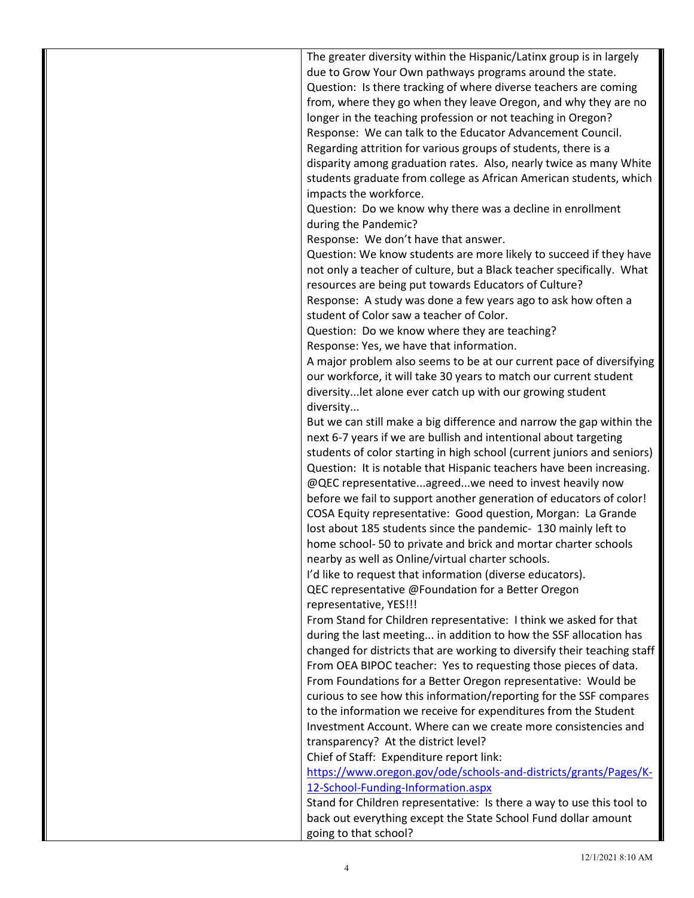| The greater diversity within the Hispanic/Latinx group is in largely     |
|--------------------------------------------------------------------------|
| due to Grow Your Own pathways programs around the state.                 |
| Question: Is there tracking of where diverse teachers are coming         |
| from, where they go when they leave Oregon, and why they are no          |
| longer in the teaching profession or not teaching in Oregon?             |
| Response: We can talk to the Educator Advancement Council.               |
| Regarding attrition for various groups of students, there is a           |
| disparity among graduation rates. Also, nearly twice as many White       |
| students graduate from college as African American students, which       |
| impacts the workforce.                                                   |
| Question: Do we know why there was a decline in enrollment               |
| during the Pandemic?                                                     |
| Response: We don't have that answer.                                     |
| Question: We know students are more likely to succeed if they have       |
| not only a teacher of culture, but a Black teacher specifically. What    |
| resources are being put towards Educators of Culture?                    |
| Response: A study was done a few years ago to ask how often a            |
| student of Color saw a teacher of Color.                                 |
| Question: Do we know where they are teaching?                            |
| Response: Yes, we have that information.                                 |
| A major problem also seems to be at our current pace of diversifying     |
| our workforce, it will take 30 years to match our current student        |
| diversitylet alone ever catch up with our growing student                |
| diversity                                                                |
| But we can still make a big difference and narrow the gap within the     |
| next 6-7 years if we are bullish and intentional about targeting         |
| students of color starting in high school (current juniors and seniors)  |
| Question: It is notable that Hispanic teachers have been increasing.     |
| @QEC representativeagreedwe need to invest heavily now                   |
| before we fail to support another generation of educators of color!      |
| COSA Equity representative: Good question, Morgan: La Grande             |
| lost about 185 students since the pandemic- 130 mainly left to           |
| home school-50 to private and brick and mortar charter schools           |
| nearby as well as Online/virtual charter schools.                        |
| I'd like to request that information (diverse educators).                |
| QEC representative @Foundation for a Better Oregon                       |
| representative, YES!!!                                                   |
| From Stand for Children representative: I think we asked for that        |
| during the last meeting in addition to how the SSF allocation has        |
| changed for districts that are working to diversify their teaching staff |
| From OEA BIPOC teacher: Yes to requesting those pieces of data.          |
| From Foundations for a Better Oregon representative: Would be            |
| curious to see how this information/reporting for the SSF compares       |
| to the information we receive for expenditures from the Student          |
| Investment Account. Where can we create more consistencies and           |
| transparency? At the district level?                                     |
| Chief of Staff: Expenditure report link:                                 |
| https://www.oregon.gov/ode/schools-and-districts/grants/Pages/K-         |
| 12-School-Funding-Information.aspx                                       |
| Stand for Children representative: Is there a way to use this tool to    |
| back out everything except the State School Fund dollar amount           |
| going to that school?                                                    |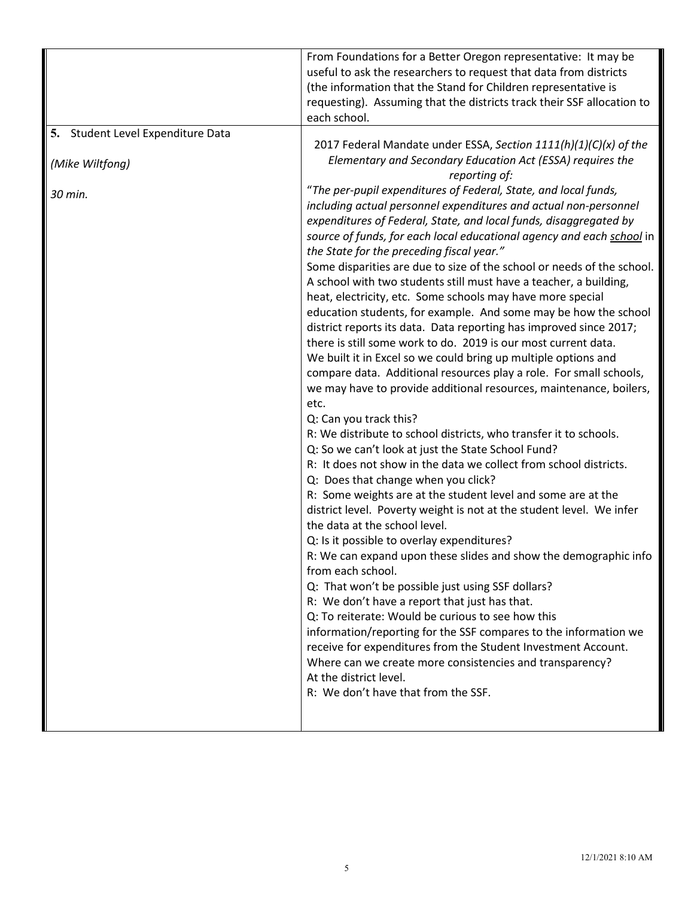|                                                                 | From Foundations for a Better Oregon representative: It may be<br>useful to ask the researchers to request that data from districts<br>(the information that the Stand for Children representative is<br>requesting). Assuming that the districts track their SSF allocation to<br>each school.                                                                                                                                                                                                                                                                                                                                                                                                                                                                                                                                                                                                                                                                                                                                                                                                                                                                                                                                                                                                                                                                                                                                                                                                                                                                                                                                                                                                                                                                                                                                                                                                                                                                                                                                                                                                                                               |
|-----------------------------------------------------------------|-----------------------------------------------------------------------------------------------------------------------------------------------------------------------------------------------------------------------------------------------------------------------------------------------------------------------------------------------------------------------------------------------------------------------------------------------------------------------------------------------------------------------------------------------------------------------------------------------------------------------------------------------------------------------------------------------------------------------------------------------------------------------------------------------------------------------------------------------------------------------------------------------------------------------------------------------------------------------------------------------------------------------------------------------------------------------------------------------------------------------------------------------------------------------------------------------------------------------------------------------------------------------------------------------------------------------------------------------------------------------------------------------------------------------------------------------------------------------------------------------------------------------------------------------------------------------------------------------------------------------------------------------------------------------------------------------------------------------------------------------------------------------------------------------------------------------------------------------------------------------------------------------------------------------------------------------------------------------------------------------------------------------------------------------------------------------------------------------------------------------------------------------|
| 5. Student Level Expenditure Data<br>(Mike Wiltfong)<br>30 min. | 2017 Federal Mandate under ESSA, Section 1111(h)(1)(C)(x) of the<br>Elementary and Secondary Education Act (ESSA) requires the<br>reporting of:<br>"The per-pupil expenditures of Federal, State, and local funds,<br>including actual personnel expenditures and actual non-personnel<br>expenditures of Federal, State, and local funds, disaggregated by<br>source of funds, for each local educational agency and each school in<br>the State for the preceding fiscal year."<br>Some disparities are due to size of the school or needs of the school.<br>A school with two students still must have a teacher, a building,<br>heat, electricity, etc. Some schools may have more special<br>education students, for example. And some may be how the school<br>district reports its data. Data reporting has improved since 2017;<br>there is still some work to do. 2019 is our most current data.<br>We built it in Excel so we could bring up multiple options and<br>compare data. Additional resources play a role. For small schools,<br>we may have to provide additional resources, maintenance, boilers,<br>etc.<br>Q: Can you track this?<br>R: We distribute to school districts, who transfer it to schools.<br>Q: So we can't look at just the State School Fund?<br>R: It does not show in the data we collect from school districts.<br>Q: Does that change when you click?<br>R: Some weights are at the student level and some are at the<br>district level. Poverty weight is not at the student level. We infer<br>the data at the school level.<br>Q: Is it possible to overlay expenditures?<br>R: We can expand upon these slides and show the demographic info<br>from each school.<br>Q: That won't be possible just using SSF dollars?<br>R: We don't have a report that just has that.<br>Q: To reiterate: Would be curious to see how this<br>information/reporting for the SSF compares to the information we<br>receive for expenditures from the Student Investment Account.<br>Where can we create more consistencies and transparency?<br>At the district level.<br>R: We don't have that from the SSF. |
|                                                                 |                                                                                                                                                                                                                                                                                                                                                                                                                                                                                                                                                                                                                                                                                                                                                                                                                                                                                                                                                                                                                                                                                                                                                                                                                                                                                                                                                                                                                                                                                                                                                                                                                                                                                                                                                                                                                                                                                                                                                                                                                                                                                                                                               |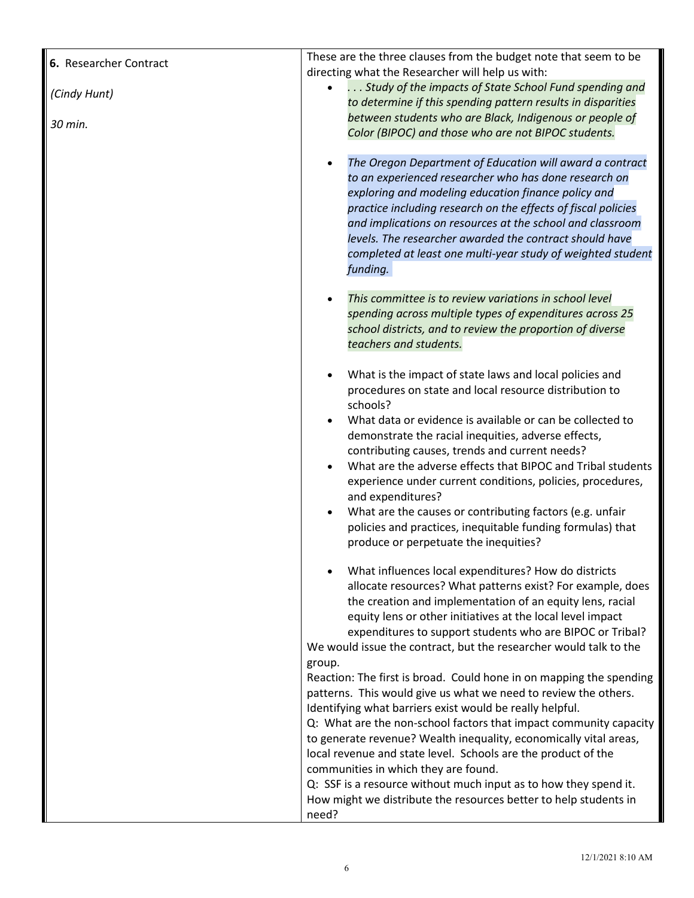| 6. Researcher Contract | These are the three clauses from the budget note that seem to be                                                                                                                                                                                                                                                                                                                                                                                                |
|------------------------|-----------------------------------------------------------------------------------------------------------------------------------------------------------------------------------------------------------------------------------------------------------------------------------------------------------------------------------------------------------------------------------------------------------------------------------------------------------------|
| (Cindy Hunt)           | directing what the Researcher will help us with:<br>Study of the impacts of State School Fund spending and<br>to determine if this spending pattern results in disparities                                                                                                                                                                                                                                                                                      |
| 30 min.                | between students who are Black, Indigenous or people of<br>Color (BIPOC) and those who are not BIPOC students.                                                                                                                                                                                                                                                                                                                                                  |
|                        | The Oregon Department of Education will award a contract<br>to an experienced researcher who has done research on<br>exploring and modeling education finance policy and<br>practice including research on the effects of fiscal policies<br>and implications on resources at the school and classroom<br>levels. The researcher awarded the contract should have<br>completed at least one multi-year study of weighted student<br>funding.                    |
|                        | This committee is to review variations in school level<br>spending across multiple types of expenditures across 25<br>school districts, and to review the proportion of diverse<br>teachers and students.                                                                                                                                                                                                                                                       |
|                        | What is the impact of state laws and local policies and<br>procedures on state and local resource distribution to<br>schools?<br>What data or evidence is available or can be collected to<br>demonstrate the racial inequities, adverse effects,<br>contributing causes, trends and current needs?<br>What are the adverse effects that BIPOC and Tribal students<br>experience under current conditions, policies, procedures,<br>and expenditures?           |
|                        | What are the causes or contributing factors (e.g. unfair<br>policies and practices, inequitable funding formulas) that<br>produce or perpetuate the inequities?                                                                                                                                                                                                                                                                                                 |
|                        | What influences local expenditures? How do districts<br>allocate resources? What patterns exist? For example, does<br>the creation and implementation of an equity lens, racial<br>equity lens or other initiatives at the local level impact<br>expenditures to support students who are BIPOC or Tribal?<br>We would issue the contract, but the researcher would talk to the                                                                                 |
|                        | group.<br>Reaction: The first is broad. Could hone in on mapping the spending<br>patterns. This would give us what we need to review the others.<br>Identifying what barriers exist would be really helpful.<br>Q: What are the non-school factors that impact community capacity<br>to generate revenue? Wealth inequality, economically vital areas,<br>local revenue and state level. Schools are the product of the<br>communities in which they are found. |
|                        | Q: SSF is a resource without much input as to how they spend it.<br>How might we distribute the resources better to help students in<br>need?                                                                                                                                                                                                                                                                                                                   |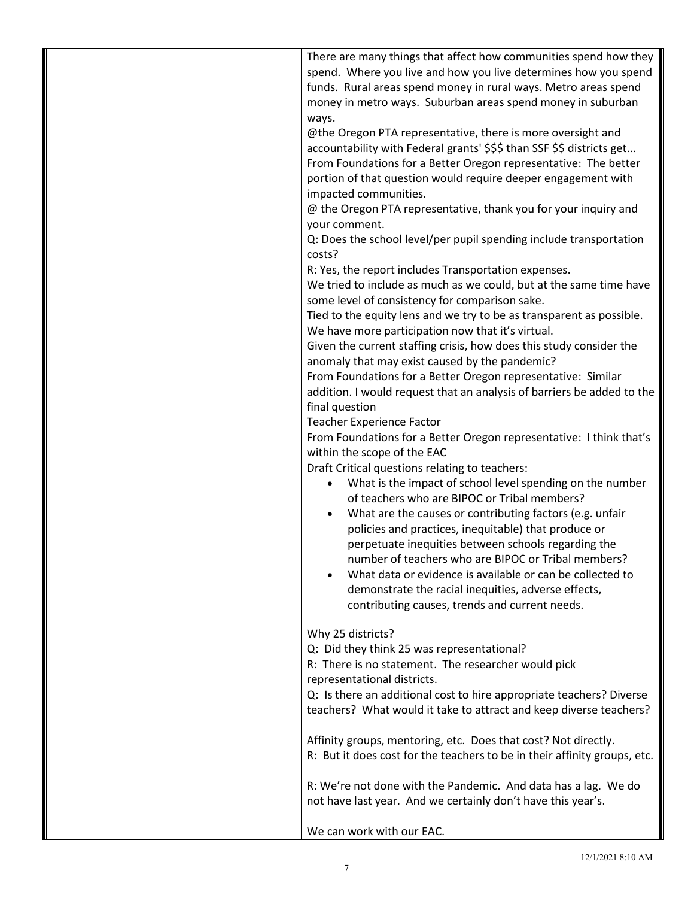| There are many things that affect how communities spend how they<br>spend. Where you live and how you live determines how you spend<br>funds. Rural areas spend money in rural ways. Metro areas spend<br>money in metro ways. Suburban areas spend money in suburban<br>ways.<br>@the Oregon PTA representative, there is more oversight and<br>accountability with Federal grants' \$\$\$ than SSF \$\$ districts get<br>From Foundations for a Better Oregon representative: The better<br>portion of that question would require deeper engagement with<br>impacted communities.<br>@ the Oregon PTA representative, thank you for your inquiry and<br>your comment.<br>Q: Does the school level/per pupil spending include transportation<br>costs?<br>R: Yes, the report includes Transportation expenses.<br>We tried to include as much as we could, but at the same time have<br>some level of consistency for comparison sake.<br>Tied to the equity lens and we try to be as transparent as possible.<br>We have more participation now that it's virtual.<br>Given the current staffing crisis, how does this study consider the<br>anomaly that may exist caused by the pandemic?<br>From Foundations for a Better Oregon representative: Similar<br>addition. I would request that an analysis of barriers be added to the<br>final question<br><b>Teacher Experience Factor</b><br>From Foundations for a Better Oregon representative: I think that's<br>within the scope of the EAC<br>Draft Critical questions relating to teachers:<br>What is the impact of school level spending on the number<br>of teachers who are BIPOC or Tribal members?<br>What are the causes or contributing factors (e.g. unfair<br>policies and practices, inequitable) that produce or<br>perpetuate inequities between schools regarding the<br>number of teachers who are BIPOC or Tribal members?<br>What data or evidence is available or can be collected to<br>demonstrate the racial inequities, adverse effects, |
|---------------------------------------------------------------------------------------------------------------------------------------------------------------------------------------------------------------------------------------------------------------------------------------------------------------------------------------------------------------------------------------------------------------------------------------------------------------------------------------------------------------------------------------------------------------------------------------------------------------------------------------------------------------------------------------------------------------------------------------------------------------------------------------------------------------------------------------------------------------------------------------------------------------------------------------------------------------------------------------------------------------------------------------------------------------------------------------------------------------------------------------------------------------------------------------------------------------------------------------------------------------------------------------------------------------------------------------------------------------------------------------------------------------------------------------------------------------------------------------------------------------------------------------------------------------------------------------------------------------------------------------------------------------------------------------------------------------------------------------------------------------------------------------------------------------------------------------------------------------------------------------------------------------------------------------------------------------------------------------------------------------------------|
|                                                                                                                                                                                                                                                                                                                                                                                                                                                                                                                                                                                                                                                                                                                                                                                                                                                                                                                                                                                                                                                                                                                                                                                                                                                                                                                                                                                                                                                                                                                                                                                                                                                                                                                                                                                                                                                                                                                                                                                                                           |
|                                                                                                                                                                                                                                                                                                                                                                                                                                                                                                                                                                                                                                                                                                                                                                                                                                                                                                                                                                                                                                                                                                                                                                                                                                                                                                                                                                                                                                                                                                                                                                                                                                                                                                                                                                                                                                                                                                                                                                                                                           |
|                                                                                                                                                                                                                                                                                                                                                                                                                                                                                                                                                                                                                                                                                                                                                                                                                                                                                                                                                                                                                                                                                                                                                                                                                                                                                                                                                                                                                                                                                                                                                                                                                                                                                                                                                                                                                                                                                                                                                                                                                           |
|                                                                                                                                                                                                                                                                                                                                                                                                                                                                                                                                                                                                                                                                                                                                                                                                                                                                                                                                                                                                                                                                                                                                                                                                                                                                                                                                                                                                                                                                                                                                                                                                                                                                                                                                                                                                                                                                                                                                                                                                                           |
|                                                                                                                                                                                                                                                                                                                                                                                                                                                                                                                                                                                                                                                                                                                                                                                                                                                                                                                                                                                                                                                                                                                                                                                                                                                                                                                                                                                                                                                                                                                                                                                                                                                                                                                                                                                                                                                                                                                                                                                                                           |
|                                                                                                                                                                                                                                                                                                                                                                                                                                                                                                                                                                                                                                                                                                                                                                                                                                                                                                                                                                                                                                                                                                                                                                                                                                                                                                                                                                                                                                                                                                                                                                                                                                                                                                                                                                                                                                                                                                                                                                                                                           |
|                                                                                                                                                                                                                                                                                                                                                                                                                                                                                                                                                                                                                                                                                                                                                                                                                                                                                                                                                                                                                                                                                                                                                                                                                                                                                                                                                                                                                                                                                                                                                                                                                                                                                                                                                                                                                                                                                                                                                                                                                           |
|                                                                                                                                                                                                                                                                                                                                                                                                                                                                                                                                                                                                                                                                                                                                                                                                                                                                                                                                                                                                                                                                                                                                                                                                                                                                                                                                                                                                                                                                                                                                                                                                                                                                                                                                                                                                                                                                                                                                                                                                                           |
|                                                                                                                                                                                                                                                                                                                                                                                                                                                                                                                                                                                                                                                                                                                                                                                                                                                                                                                                                                                                                                                                                                                                                                                                                                                                                                                                                                                                                                                                                                                                                                                                                                                                                                                                                                                                                                                                                                                                                                                                                           |
|                                                                                                                                                                                                                                                                                                                                                                                                                                                                                                                                                                                                                                                                                                                                                                                                                                                                                                                                                                                                                                                                                                                                                                                                                                                                                                                                                                                                                                                                                                                                                                                                                                                                                                                                                                                                                                                                                                                                                                                                                           |
|                                                                                                                                                                                                                                                                                                                                                                                                                                                                                                                                                                                                                                                                                                                                                                                                                                                                                                                                                                                                                                                                                                                                                                                                                                                                                                                                                                                                                                                                                                                                                                                                                                                                                                                                                                                                                                                                                                                                                                                                                           |
|                                                                                                                                                                                                                                                                                                                                                                                                                                                                                                                                                                                                                                                                                                                                                                                                                                                                                                                                                                                                                                                                                                                                                                                                                                                                                                                                                                                                                                                                                                                                                                                                                                                                                                                                                                                                                                                                                                                                                                                                                           |
|                                                                                                                                                                                                                                                                                                                                                                                                                                                                                                                                                                                                                                                                                                                                                                                                                                                                                                                                                                                                                                                                                                                                                                                                                                                                                                                                                                                                                                                                                                                                                                                                                                                                                                                                                                                                                                                                                                                                                                                                                           |
|                                                                                                                                                                                                                                                                                                                                                                                                                                                                                                                                                                                                                                                                                                                                                                                                                                                                                                                                                                                                                                                                                                                                                                                                                                                                                                                                                                                                                                                                                                                                                                                                                                                                                                                                                                                                                                                                                                                                                                                                                           |
|                                                                                                                                                                                                                                                                                                                                                                                                                                                                                                                                                                                                                                                                                                                                                                                                                                                                                                                                                                                                                                                                                                                                                                                                                                                                                                                                                                                                                                                                                                                                                                                                                                                                                                                                                                                                                                                                                                                                                                                                                           |
|                                                                                                                                                                                                                                                                                                                                                                                                                                                                                                                                                                                                                                                                                                                                                                                                                                                                                                                                                                                                                                                                                                                                                                                                                                                                                                                                                                                                                                                                                                                                                                                                                                                                                                                                                                                                                                                                                                                                                                                                                           |
|                                                                                                                                                                                                                                                                                                                                                                                                                                                                                                                                                                                                                                                                                                                                                                                                                                                                                                                                                                                                                                                                                                                                                                                                                                                                                                                                                                                                                                                                                                                                                                                                                                                                                                                                                                                                                                                                                                                                                                                                                           |
|                                                                                                                                                                                                                                                                                                                                                                                                                                                                                                                                                                                                                                                                                                                                                                                                                                                                                                                                                                                                                                                                                                                                                                                                                                                                                                                                                                                                                                                                                                                                                                                                                                                                                                                                                                                                                                                                                                                                                                                                                           |
|                                                                                                                                                                                                                                                                                                                                                                                                                                                                                                                                                                                                                                                                                                                                                                                                                                                                                                                                                                                                                                                                                                                                                                                                                                                                                                                                                                                                                                                                                                                                                                                                                                                                                                                                                                                                                                                                                                                                                                                                                           |
|                                                                                                                                                                                                                                                                                                                                                                                                                                                                                                                                                                                                                                                                                                                                                                                                                                                                                                                                                                                                                                                                                                                                                                                                                                                                                                                                                                                                                                                                                                                                                                                                                                                                                                                                                                                                                                                                                                                                                                                                                           |
|                                                                                                                                                                                                                                                                                                                                                                                                                                                                                                                                                                                                                                                                                                                                                                                                                                                                                                                                                                                                                                                                                                                                                                                                                                                                                                                                                                                                                                                                                                                                                                                                                                                                                                                                                                                                                                                                                                                                                                                                                           |
|                                                                                                                                                                                                                                                                                                                                                                                                                                                                                                                                                                                                                                                                                                                                                                                                                                                                                                                                                                                                                                                                                                                                                                                                                                                                                                                                                                                                                                                                                                                                                                                                                                                                                                                                                                                                                                                                                                                                                                                                                           |
|                                                                                                                                                                                                                                                                                                                                                                                                                                                                                                                                                                                                                                                                                                                                                                                                                                                                                                                                                                                                                                                                                                                                                                                                                                                                                                                                                                                                                                                                                                                                                                                                                                                                                                                                                                                                                                                                                                                                                                                                                           |
|                                                                                                                                                                                                                                                                                                                                                                                                                                                                                                                                                                                                                                                                                                                                                                                                                                                                                                                                                                                                                                                                                                                                                                                                                                                                                                                                                                                                                                                                                                                                                                                                                                                                                                                                                                                                                                                                                                                                                                                                                           |
|                                                                                                                                                                                                                                                                                                                                                                                                                                                                                                                                                                                                                                                                                                                                                                                                                                                                                                                                                                                                                                                                                                                                                                                                                                                                                                                                                                                                                                                                                                                                                                                                                                                                                                                                                                                                                                                                                                                                                                                                                           |
|                                                                                                                                                                                                                                                                                                                                                                                                                                                                                                                                                                                                                                                                                                                                                                                                                                                                                                                                                                                                                                                                                                                                                                                                                                                                                                                                                                                                                                                                                                                                                                                                                                                                                                                                                                                                                                                                                                                                                                                                                           |
|                                                                                                                                                                                                                                                                                                                                                                                                                                                                                                                                                                                                                                                                                                                                                                                                                                                                                                                                                                                                                                                                                                                                                                                                                                                                                                                                                                                                                                                                                                                                                                                                                                                                                                                                                                                                                                                                                                                                                                                                                           |
|                                                                                                                                                                                                                                                                                                                                                                                                                                                                                                                                                                                                                                                                                                                                                                                                                                                                                                                                                                                                                                                                                                                                                                                                                                                                                                                                                                                                                                                                                                                                                                                                                                                                                                                                                                                                                                                                                                                                                                                                                           |
|                                                                                                                                                                                                                                                                                                                                                                                                                                                                                                                                                                                                                                                                                                                                                                                                                                                                                                                                                                                                                                                                                                                                                                                                                                                                                                                                                                                                                                                                                                                                                                                                                                                                                                                                                                                                                                                                                                                                                                                                                           |
|                                                                                                                                                                                                                                                                                                                                                                                                                                                                                                                                                                                                                                                                                                                                                                                                                                                                                                                                                                                                                                                                                                                                                                                                                                                                                                                                                                                                                                                                                                                                                                                                                                                                                                                                                                                                                                                                                                                                                                                                                           |
|                                                                                                                                                                                                                                                                                                                                                                                                                                                                                                                                                                                                                                                                                                                                                                                                                                                                                                                                                                                                                                                                                                                                                                                                                                                                                                                                                                                                                                                                                                                                                                                                                                                                                                                                                                                                                                                                                                                                                                                                                           |
|                                                                                                                                                                                                                                                                                                                                                                                                                                                                                                                                                                                                                                                                                                                                                                                                                                                                                                                                                                                                                                                                                                                                                                                                                                                                                                                                                                                                                                                                                                                                                                                                                                                                                                                                                                                                                                                                                                                                                                                                                           |
|                                                                                                                                                                                                                                                                                                                                                                                                                                                                                                                                                                                                                                                                                                                                                                                                                                                                                                                                                                                                                                                                                                                                                                                                                                                                                                                                                                                                                                                                                                                                                                                                                                                                                                                                                                                                                                                                                                                                                                                                                           |
|                                                                                                                                                                                                                                                                                                                                                                                                                                                                                                                                                                                                                                                                                                                                                                                                                                                                                                                                                                                                                                                                                                                                                                                                                                                                                                                                                                                                                                                                                                                                                                                                                                                                                                                                                                                                                                                                                                                                                                                                                           |
|                                                                                                                                                                                                                                                                                                                                                                                                                                                                                                                                                                                                                                                                                                                                                                                                                                                                                                                                                                                                                                                                                                                                                                                                                                                                                                                                                                                                                                                                                                                                                                                                                                                                                                                                                                                                                                                                                                                                                                                                                           |
|                                                                                                                                                                                                                                                                                                                                                                                                                                                                                                                                                                                                                                                                                                                                                                                                                                                                                                                                                                                                                                                                                                                                                                                                                                                                                                                                                                                                                                                                                                                                                                                                                                                                                                                                                                                                                                                                                                                                                                                                                           |
|                                                                                                                                                                                                                                                                                                                                                                                                                                                                                                                                                                                                                                                                                                                                                                                                                                                                                                                                                                                                                                                                                                                                                                                                                                                                                                                                                                                                                                                                                                                                                                                                                                                                                                                                                                                                                                                                                                                                                                                                                           |
|                                                                                                                                                                                                                                                                                                                                                                                                                                                                                                                                                                                                                                                                                                                                                                                                                                                                                                                                                                                                                                                                                                                                                                                                                                                                                                                                                                                                                                                                                                                                                                                                                                                                                                                                                                                                                                                                                                                                                                                                                           |
| contributing causes, trends and current needs.                                                                                                                                                                                                                                                                                                                                                                                                                                                                                                                                                                                                                                                                                                                                                                                                                                                                                                                                                                                                                                                                                                                                                                                                                                                                                                                                                                                                                                                                                                                                                                                                                                                                                                                                                                                                                                                                                                                                                                            |
|                                                                                                                                                                                                                                                                                                                                                                                                                                                                                                                                                                                                                                                                                                                                                                                                                                                                                                                                                                                                                                                                                                                                                                                                                                                                                                                                                                                                                                                                                                                                                                                                                                                                                                                                                                                                                                                                                                                                                                                                                           |
| Why 25 districts?                                                                                                                                                                                                                                                                                                                                                                                                                                                                                                                                                                                                                                                                                                                                                                                                                                                                                                                                                                                                                                                                                                                                                                                                                                                                                                                                                                                                                                                                                                                                                                                                                                                                                                                                                                                                                                                                                                                                                                                                         |
| Q: Did they think 25 was representational?                                                                                                                                                                                                                                                                                                                                                                                                                                                                                                                                                                                                                                                                                                                                                                                                                                                                                                                                                                                                                                                                                                                                                                                                                                                                                                                                                                                                                                                                                                                                                                                                                                                                                                                                                                                                                                                                                                                                                                                |
| R: There is no statement. The researcher would pick                                                                                                                                                                                                                                                                                                                                                                                                                                                                                                                                                                                                                                                                                                                                                                                                                                                                                                                                                                                                                                                                                                                                                                                                                                                                                                                                                                                                                                                                                                                                                                                                                                                                                                                                                                                                                                                                                                                                                                       |
| representational districts.                                                                                                                                                                                                                                                                                                                                                                                                                                                                                                                                                                                                                                                                                                                                                                                                                                                                                                                                                                                                                                                                                                                                                                                                                                                                                                                                                                                                                                                                                                                                                                                                                                                                                                                                                                                                                                                                                                                                                                                               |
| Q: Is there an additional cost to hire appropriate teachers? Diverse                                                                                                                                                                                                                                                                                                                                                                                                                                                                                                                                                                                                                                                                                                                                                                                                                                                                                                                                                                                                                                                                                                                                                                                                                                                                                                                                                                                                                                                                                                                                                                                                                                                                                                                                                                                                                                                                                                                                                      |
| teachers? What would it take to attract and keep diverse teachers?                                                                                                                                                                                                                                                                                                                                                                                                                                                                                                                                                                                                                                                                                                                                                                                                                                                                                                                                                                                                                                                                                                                                                                                                                                                                                                                                                                                                                                                                                                                                                                                                                                                                                                                                                                                                                                                                                                                                                        |
|                                                                                                                                                                                                                                                                                                                                                                                                                                                                                                                                                                                                                                                                                                                                                                                                                                                                                                                                                                                                                                                                                                                                                                                                                                                                                                                                                                                                                                                                                                                                                                                                                                                                                                                                                                                                                                                                                                                                                                                                                           |
| Affinity groups, mentoring, etc. Does that cost? Not directly.                                                                                                                                                                                                                                                                                                                                                                                                                                                                                                                                                                                                                                                                                                                                                                                                                                                                                                                                                                                                                                                                                                                                                                                                                                                                                                                                                                                                                                                                                                                                                                                                                                                                                                                                                                                                                                                                                                                                                            |
|                                                                                                                                                                                                                                                                                                                                                                                                                                                                                                                                                                                                                                                                                                                                                                                                                                                                                                                                                                                                                                                                                                                                                                                                                                                                                                                                                                                                                                                                                                                                                                                                                                                                                                                                                                                                                                                                                                                                                                                                                           |
|                                                                                                                                                                                                                                                                                                                                                                                                                                                                                                                                                                                                                                                                                                                                                                                                                                                                                                                                                                                                                                                                                                                                                                                                                                                                                                                                                                                                                                                                                                                                                                                                                                                                                                                                                                                                                                                                                                                                                                                                                           |
| R: But it does cost for the teachers to be in their affinity groups, etc.                                                                                                                                                                                                                                                                                                                                                                                                                                                                                                                                                                                                                                                                                                                                                                                                                                                                                                                                                                                                                                                                                                                                                                                                                                                                                                                                                                                                                                                                                                                                                                                                                                                                                                                                                                                                                                                                                                                                                 |
|                                                                                                                                                                                                                                                                                                                                                                                                                                                                                                                                                                                                                                                                                                                                                                                                                                                                                                                                                                                                                                                                                                                                                                                                                                                                                                                                                                                                                                                                                                                                                                                                                                                                                                                                                                                                                                                                                                                                                                                                                           |
| R: We're not done with the Pandemic. And data has a lag. We do                                                                                                                                                                                                                                                                                                                                                                                                                                                                                                                                                                                                                                                                                                                                                                                                                                                                                                                                                                                                                                                                                                                                                                                                                                                                                                                                                                                                                                                                                                                                                                                                                                                                                                                                                                                                                                                                                                                                                            |
| not have last year. And we certainly don't have this year's.                                                                                                                                                                                                                                                                                                                                                                                                                                                                                                                                                                                                                                                                                                                                                                                                                                                                                                                                                                                                                                                                                                                                                                                                                                                                                                                                                                                                                                                                                                                                                                                                                                                                                                                                                                                                                                                                                                                                                              |